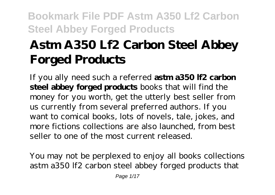# **Astm A350 Lf2 Carbon Steel Abbey Forged Products**

If you ally need such a referred **astm a350 lf2 carbon steel abbey forged products** books that will find the money for you worth, get the utterly best seller from us currently from several preferred authors. If you want to comical books, lots of novels, tale, jokes, and more fictions collections are also launched, from best seller to one of the most current released.

You may not be perplexed to enjoy all books collections astm a350 lf2 carbon steel abbey forged products that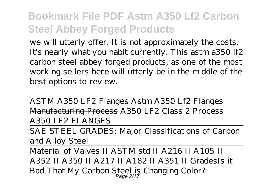we will utterly offer. It is not approximately the costs. It's nearly what you habit currently. This astm a350 lf2 carbon steel abbey forged products, as one of the most working sellers here will utterly be in the middle of the best options to review.

ASTM A350 LF2 Flanges Astm A350 Lf2 Flanges Manufacturing Process A350 LF2 Class 2 Process A350 LF2 FLANGES

SAE STEEL GRADES: Major Classifications of Carbon and Alloy Steel

Material of Valves II ASTM std II A216 II A105 II A352 II A350 II A217 II A182 II A351 II GradesIs it Bad That My Carbon Steel is Changing Color? Page 2/17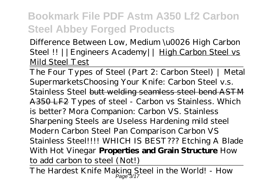*Difference Between Low, Medium \u0026 High Carbon Steel !! ||Engineers Academy||* High Carbon Steel vs Mild Steel Test

The Four Types of Steel (Part 2: Carbon Steel) | Metal Supermarkets*Choosing Your Knife: Carbon Steel v.s. Stainless Steel* butt welding seamless steel bend ASTM A350 LF2 *Types of steel - Carbon vs Stainless. Which is better? Mora Companion: Carbon VS. Stainless Sharpening Steels are Useless Hardening mild steel* Modern Carbon Steel Pan Comparison *Carbon VS Stainless Steel!!!! WHICH IS BEST??? Etching A Blade With Hot Vinegar* **Properties and Grain Structure** *How to add carbon to steel (Not!)*

The Hardest Knife Making Steel in the World! - How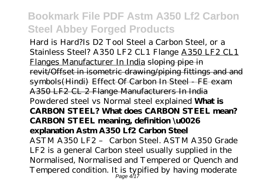Hard is Hard?*Is D2 Tool Steel a Carbon Steel, or a Stainless Steel? A350 LF2 CL1 Flange* A350 LF2 CL1 Flanges Manufacturer In India sloping pipe in revit/Offset in isometric drawing/piping fittings and and symbols(Hindi) Effect Of Carbon In Steel FE exam A350 LF2 CL 2 Flange Manufacturers In India *Powdered steel vs Normal steel explained* **What is CARBON STEEL? What does CARBON STEEL mean? CARBON STEEL meaning, definition \u0026 explanation Astm A350 Lf2 Carbon Steel** ASTM A350 LF2 – Carbon Steel. ASTM A350 Grade LF2 is a general Carbon steel usually supplied in the Normalised, Normalised and Tempered or Quench and Tempered condition. It is typified by having moderate Page 4/17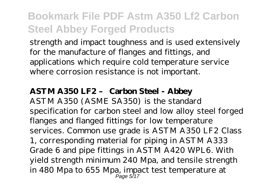strength and impact toughness and is used extensively for the manufacture of flanges and fittings, and applications which require cold temperature service where corrosion resistance is not important.

### **ASTM A350 LF2 – Carbon Steel - Abbey**

ASTM A350 (ASME SA350) is the standard specification for carbon steel and low alloy steel forged flanges and flanged fittings for low temperature services. Common use grade is ASTM A350 LF2 Class 1, corresponding material for piping in ASTM A333 Grade 6 and pipe fittings in ASTM A420 WPL6. With yield strength minimum 240 Mpa, and tensile strength in 480 Mpa to 655 Mpa, impact test temperature at Page 5/17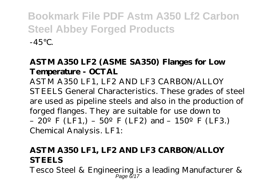### **ASTM A350 LF2 (ASME SA350) Flanges for Low Temperature - OCTAL**

ASTM A350 LF1, LF2 AND LF3 CARBON/ALLOY STEELS General Characteristics. These grades of steel are used as pipeline steels and also in the production of forged flanges. They are suitable for use down to – 20<sup>o</sup> F (LF1,) – 50<sup>o</sup> F (LF2) and – 150<sup>o</sup> F (LF3.) Chemical Analysis. LF1:

### **ASTM A350 LF1, LF2 AND LF3 CARBON/ALLOY STEELS**

Tesco Steel & Engineering is a leading Manufacturer & Page 6/17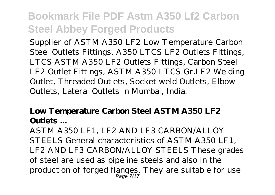Supplier of ASTM A350 LF2 Low Temperature Carbon Steel Outlets Fittings, A350 LTCS LF2 Outlets Fittings, LTCS ASTM A350 LF2 Outlets Fittings, Carbon Steel LF2 Outlet Fittings, ASTM A350 LTCS Gr.LF2 Welding Outlet, Threaded Outlets, Socket weld Outlets, Elbow Outlets, Lateral Outlets in Mumbai, India.

### **Low Temperature Carbon Steel ASTM A350 LF2 Outlets ...**

ASTM A350 LF1, LF2 AND LF3 CARBON/ALLOY STEELS General characteristics of ASTM A350 LF1, LF2 AND LF3 CARBON/ALLOY STEELS These grades of steel are used as pipeline steels and also in the production of forged flanges. They are suitable for use Page 7/17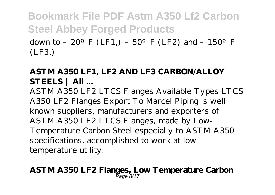down to –  $20^{\circ}$  F (LF1,) –  $50^{\circ}$  F (LF2) and – 150<sup>°</sup>F (LF3.)

### **ASTM A350 LF1, LF2 AND LF3 CARBON/ALLOY STEELS | All ...**

ASTM A350 LF2 LTCS Flanges Available Types LTCS A350 LF2 Flanges Export To Marcel Piping is well known suppliers, manufacturers and exporters of ASTM A350 LF2 LTCS Flanges, made by Low-Temperature Carbon Steel especially to ASTM A350 specifications, accomplished to work at lowtemperature utility.

#### **ASTM A350 LF2 Flanges, Low Temperature Carbon** Page 8/17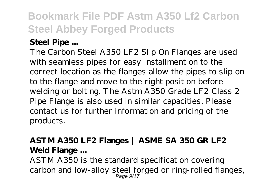### **Steel Pipe ...**

The Carbon Steel A350 LF2 Slip On Flanges are used with seamless pipes for easy installment on to the correct location as the flanges allow the pipes to slip on to the flange and move to the right position before welding or bolting. The Astm A350 Grade LF2 Class 2 Pipe Flange is also used in similar capacities. Please contact us for further information and pricing of the products.

### **ASTM A350 LF2 Flanges | ASME SA 350 GR LF2 Weld Flange ...**

ASTM A350 is the standard specification covering carbon and low-alloy steel forged or ring-rolled flanges, Page 9/17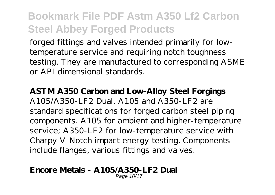forged fittings and valves intended primarily for lowtemperature service and requiring notch toughness testing. They are manufactured to corresponding ASME or API dimensional standards.

#### **ASTM A350 Carbon and Low-Alloy Steel Forgings**

A105/A350-LF2 Dual. A105 and A350-LF2 are standard specifications for forged carbon steel piping components. A105 for ambient and higher-temperature service; A350-LF2 for low-temperature service with Charpy V-Notch impact energy testing. Components include flanges, various fittings and valves.

#### **Encore Metals - A105/A350-LF2 Dual** Page 10/17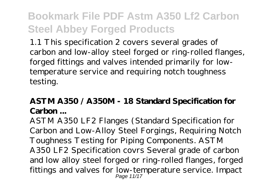1.1 This specification 2 covers several grades of carbon and low-alloy steel forged or ring-rolled flanges, forged fittings and valves intended primarily for lowtemperature service and requiring notch toughness testing.

### **ASTM A350 / A350M - 18 Standard Specification for Carbon ...**

ASTM A350 LF2 Flanges (Standard Specification for Carbon and Low-Alloy Steel Forgings, Requiring Notch Toughness Testing for Piping Components. ASTM A350 LF2 Specification covrs Several grade of carbon and low alloy steel forged or ring-rolled flanges, forged fittings and valves for low-temperature service. Impact Page 11/17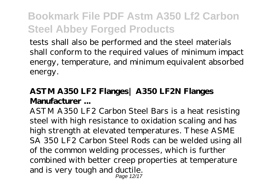tests shall also be performed and the steel materials shall conform to the required values of minimum impact energy, temperature, and minimum equivalent absorbed energy.

### **ASTM A350 LF2 Flanges| A350 LF2N Flanges Manufacturer ...**

ASTM A350 LF2 Carbon Steel Bars is a heat resisting steel with high resistance to oxidation scaling and has high strength at elevated temperatures. These ASME SA 350 LF2 Carbon Steel Rods can be welded using all of the common welding processes, which is further combined with better creep properties at temperature and is very tough and ductile. Page 12/17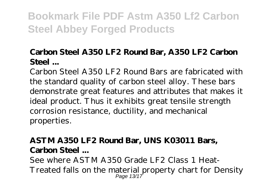### **Carbon Steel A350 LF2 Round Bar, A350 LF2 Carbon Steel ...**

Carbon Steel A350 LF2 Round Bars are fabricated with the standard quality of carbon steel alloy. These bars demonstrate great features and attributes that makes it ideal product. Thus it exhibits great tensile strength corrosion resistance, ductility, and mechanical properties.

### **ASTM A350 LF2 Round Bar, UNS K03011 Bars, Carbon Steel ...**

See where ASTM A350 Grade LF2 Class 1 Heat-Treated falls on the material property chart for Density Page 13/17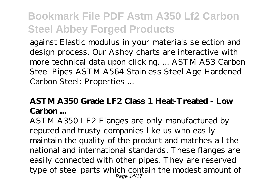against Elastic modulus in your materials selection and design process. Our Ashby charts are interactive with more technical data upon clicking. ... ASTM A53 Carbon Steel Pipes ASTM A564 Stainless Steel Age Hardened Carbon Steel: Properties ...

### **ASTM A350 Grade LF2 Class 1 Heat-Treated - Low Carbon ...**

ASTM A350 LF2 Flanges are only manufactured by reputed and trusty companies like us who easily maintain the quality of the product and matches all the national and international standards. These flanges are easily connected with other pipes. They are reserved type of steel parts which contain the modest amount of Page 14/17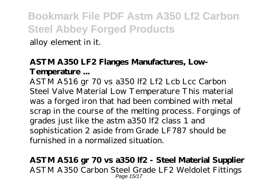alloy element in it.

### **ASTM A350 LF2 Flanges Manufactures, Low-Temperature ...**

ASTM A516 gr 70 vs a350 lf2 Lf2 Lcb Lcc Carbon Steel Valve Material Low Temperature This material was a forged iron that had been combined with metal scrap in the course of the melting process. Forgings of grades just like the astm a350 lf2 class 1 and sophistication 2 aside from Grade LF787 should be furnished in a normalized situation.

#### **ASTM A516 gr 70 vs a350 lf2 - Steel Material Supplier** ASTM A350 Carbon Steel Grade LF2 Weldolet Fittings Page 15/17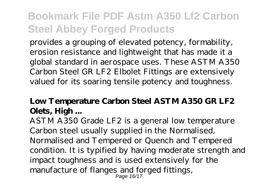provides a grouping of elevated potency, formability, erosion resistance and lightweight that has made it a global standard in aerospace uses. These ASTM A350 Carbon Steel GR LF2 Elbolet Fittings are extensively valued for its soaring tensile potency and toughness.

### **Low Temperature Carbon Steel ASTM A350 GR LF2 Olets, High ...**

ASTM A350 Grade LF2 is a general low temperature Carbon steel usually supplied in the Normalised, Normalised and Tempered or Quench and Tempered condition. It is typified by having moderate strength and impact toughness and is used extensively for the manufacture of flanges and forged fittings, Page 16/17